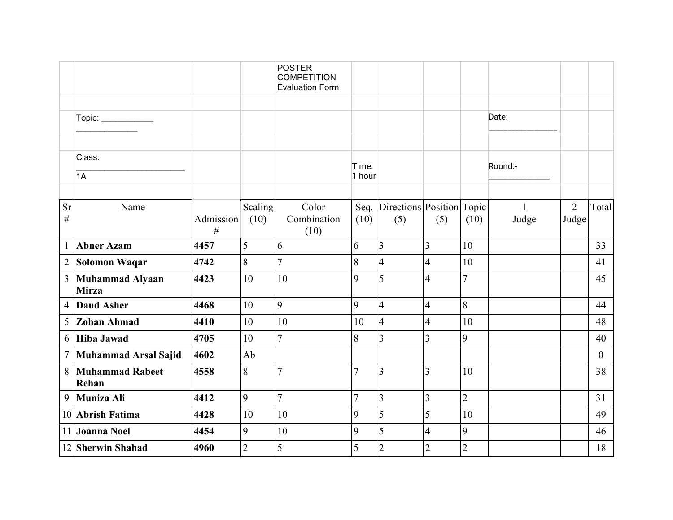|                 |                                        |                |                | <b>POSTER</b><br><b>COMPETITION</b><br><b>Evaluation Form</b> |                |                                |                |                |              |                |                |
|-----------------|----------------------------------------|----------------|----------------|---------------------------------------------------------------|----------------|--------------------------------|----------------|----------------|--------------|----------------|----------------|
|                 |                                        |                |                |                                                               |                |                                |                |                |              |                |                |
|                 | Topic: ____________                    |                |                |                                                               |                |                                |                |                | Date:        |                |                |
|                 | Class:                                 |                |                |                                                               | Time:          |                                |                |                | Round:-      |                |                |
|                 | 1A                                     |                |                |                                                               | 1 hour         |                                |                |                |              |                |                |
| <b>Sr</b>       | Name                                   |                | Scaling        | Color                                                         |                | Seq. Directions Position Topic |                |                | $\mathbf{1}$ | $\overline{2}$ | Total          |
| $\#$            |                                        | Admission<br># | (10)           | Combination<br>(10)                                           | (10)           | (5)                            | (5)            | (10)           | Judge        | Judge          |                |
| $\mathbf{1}$    | <b>Abner Azam</b>                      | 4457           | 5              | 6                                                             | 6              | $\overline{3}$                 | $\overline{3}$ | 10             |              |                | 33             |
| $\overline{2}$  | <b>Solomon Waqar</b>                   | 4742           | 8              | $\overline{7}$                                                | 8              | $\overline{4}$                 | $\overline{4}$ | 10             |              |                | 41             |
| $\overline{3}$  | <b>Muhammad Alyaan</b><br><b>Mirza</b> | 4423           | 10             | 10                                                            | 9              | 5                              | $\overline{4}$ | 7              |              |                | 45             |
| $\overline{4}$  | <b>Daud Asher</b>                      | 4468           | 10             | 9                                                             | 9              | $\overline{4}$                 | $\overline{4}$ | 8              |              |                | 44             |
| 5               | <b>Zohan Ahmad</b>                     | 4410           | 10             | 10                                                            | 10             | $\overline{4}$                 | 4              | 10             |              |                | 48             |
| 6               | <b>Hiba Jawad</b>                      | 4705           | 10             | $\overline{7}$                                                | 8              | 3                              | 3              | 9              |              |                | 40             |
| $7\phantom{.0}$ | Muhammad Arsal Sajid                   | 4602           | Ab             |                                                               |                |                                |                |                |              |                | $\overline{0}$ |
| 8               | <b>Muhammad Rabeet</b><br>Rehan        | 4558           | 8              | $\overline{7}$                                                | $\overline{7}$ | $\overline{3}$                 | $\overline{3}$ | 10             |              |                | 38             |
| 9               | Muniza Ali                             | 4412           | 9              | $\overline{7}$                                                | $\overline{7}$ | $\overline{3}$                 | $\overline{3}$ | $\overline{2}$ |              |                | 31             |
|                 | 10 Abrish Fatima                       | 4428           | 10             | 10                                                            | 9              | 5                              | 5              | 10             |              |                | 49             |
|                 | 11 Joanna Noel                         | 4454           | 9              | 10                                                            | 9              | 5                              | $\overline{4}$ | 9              |              |                | 46             |
|                 | 12 Sherwin Shahad                      | 4960           | $\overline{2}$ | 5                                                             | 5              | $\overline{c}$                 | $\overline{2}$ | $\overline{2}$ |              |                | 18             |